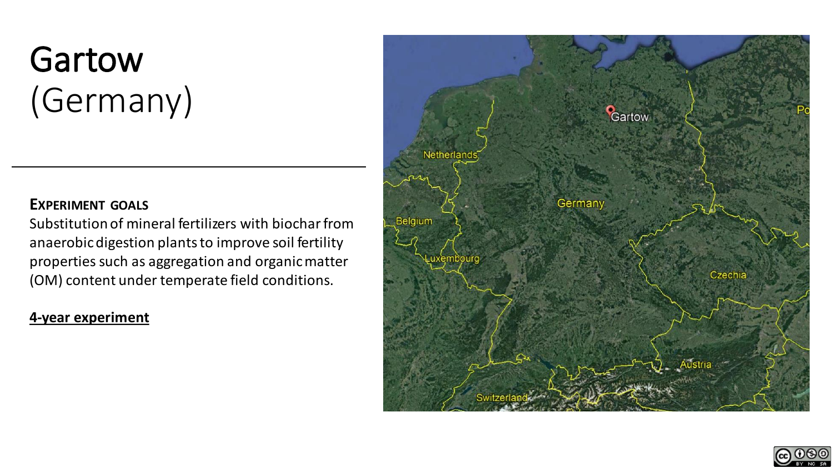# Gartow (Germany)

#### **EXPERIMENT GOALS**

Substitution of mineral fertilizers with biochar from anaerobic digestion plants to improve soil fertility properties such as aggregation and organic matter (OM) content under temperate field conditions.

#### **4-year experiment**



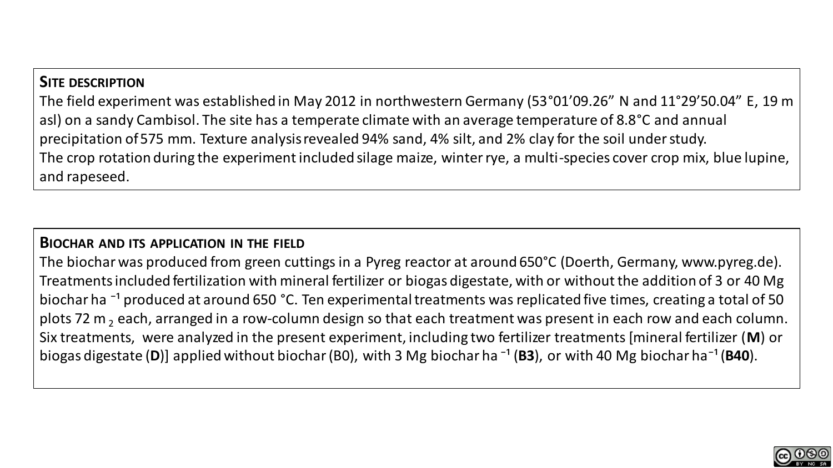#### **SITE DESCRIPTION**

The field experiment was established in May 2012 in northwestern Germany (53°01'09.26" N and 11°29'50.04" E, 19 m asl) on a sandy Cambisol. The site has a temperate climate with an average temperature of 8.8°C and annual precipitation of 575 mm. Texture analysis revealed 94% sand, 4% silt, and 2% clay for the soil under study. The crop rotation during the experiment included silage maize, winter rye, a multi-species cover crop mix, blue lupine, and rapeseed.

#### **BIOCHAR AND ITS APPLICATION IN THE FIELD**

The biochar was produced from green cuttings in a Pyreg reactor at around 650°C (Doerth, Germany, www.pyreg.de). Treatments included fertilization with mineral fertilizer or biogas digestate, with or without the addition of 3 or 40 Mg biochar ha<sup>-1</sup> produced at around 650 °C. Ten experimental treatments was replicated five times, creating a total of 50 plots 72 m<sub>2</sub> each, arranged in a row-column design so that each treatment was present in each row and each column. Six treatments, were analyzed in the present experiment, including two fertilizer treatments [mineral fertilizer (**M**) or biogas digestate (D)] applied without biochar (B0), with 3 Mg biochar ha<sup>-1</sup> (B3), or with 40 Mg biochar ha<sup>-1</sup> (B40).

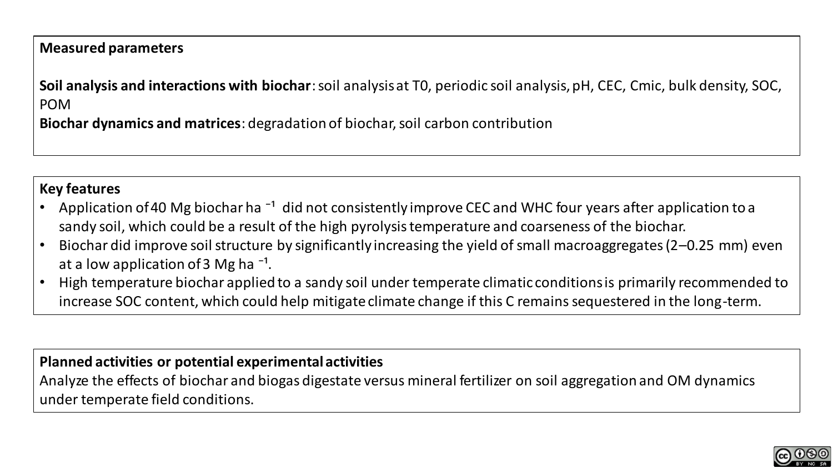#### **Measured parameters**

**Soil analysis and interactions with biochar**: soil analysis at T0, periodic soil analysis, pH, CEC, Cmic, bulk density, SOC, POM

**Biochar dynamics and matrices**: degradation of biochar, soil carbon contribution

#### **Key features**

- Application of 40 Mg biochar ha  $^{-1}$  did not consistently improve CEC and WHC four years after application to a sandy soil, which could be a result of the high pyrolysis temperature and coarseness of the biochar.
- Biochar did improve soil structure by significantly increasing the yield of small macroaggregates (2–0.25 mm) even at a low application of 3 Mg ha<sup> $-1$ </sup>.
- High temperature biochar applied to a sandy soil under temperate climatic conditions is primarily recommended to increase SOC content, which could help mitigate climate change if this C remains sequestered in the long-term.

#### **Planned activities or potential experimental activities**

Analyze the effects of biochar and biogas digestate versus mineral fertilizer on soil aggregation and OM dynamics under temperate field conditions.